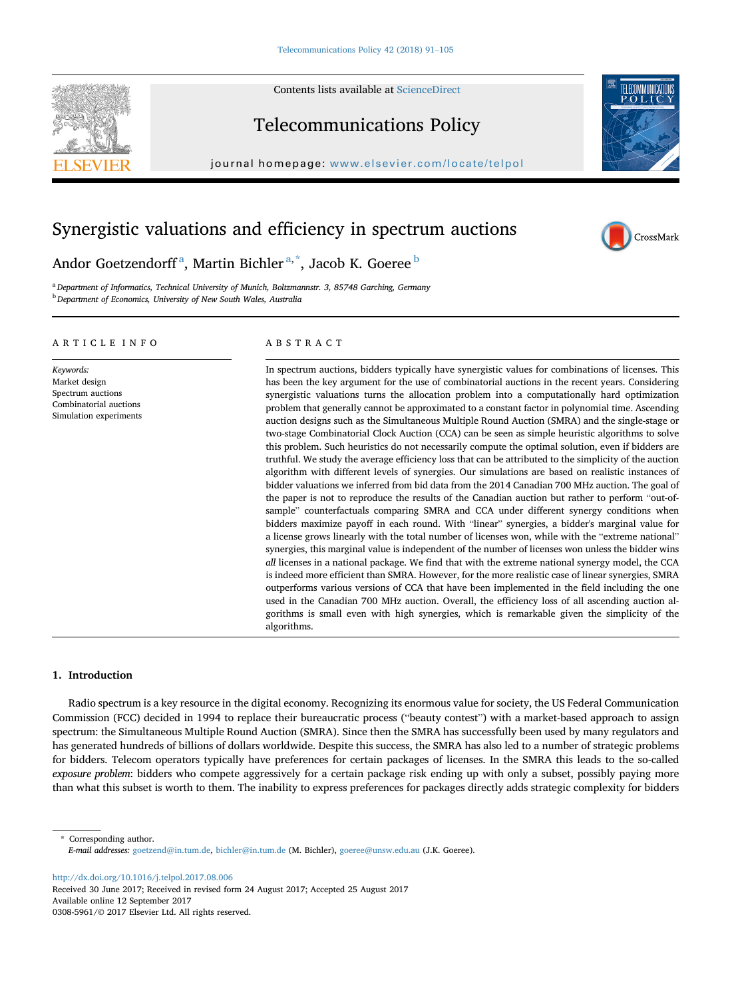Contents lists available at [ScienceDirect](www.sciencedirect.com/science/journal/03085961)





# Telecommunications Policy

journal homepage: [www.elsevier.com/locate/telpol](http://www.elsevier.com/locate/telpol)

# Synergistic valuations and efficiency in spectrum auctions



## Andor Goetzendorff<sup>a</sup>, Martin Bichler<sup>a,\*</sup>, Jacob K. Goeree <sup>b</sup>

 $a^{a}$  Department of Informatics, Technical University of Munich, Boltzmannstr. 3, 85748 Garching, Germany **b** Department of Economics, University of New South Wales, Australia

## ARTICLE INFO

Keywords: Market design Spectrum auctions Combinatorial auctions Simulation experiments

## ABSTRACT

In spectrum auctions, bidders typically have synergistic values for combinations of licenses. This has been the key argument for the use of combinatorial auctions in the recent years. Considering synergistic valuations turns the allocation problem into a computationally hard optimization problem that generally cannot be approximated to a constant factor in polynomial time. Ascending auction designs such as the Simultaneous Multiple Round Auction (SMRA) and the single-stage or two-stage Combinatorial Clock Auction (CCA) can be seen as simple heuristic algorithms to solve this problem. Such heuristics do not necessarily compute the optimal solution, even if bidders are truthful. We study the average efficiency loss that can be attributed to the simplicity of the auction algorithm with different levels of synergies. Our simulations are based on realistic instances of bidder valuations we inferred from bid data from the 2014 Canadian 700 MHz auction. The goal of the paper is not to reproduce the results of the Canadian auction but rather to perform "out-ofsample" counterfactuals comparing SMRA and CCA under different synergy conditions when bidders maximize payoff in each round. With "linear" synergies, a bidder's marginal value for a license grows linearly with the total number of licenses won, while with the "extreme national" synergies, this marginal value is independent of the number of licenses won unless the bidder wins all licenses in a national package. We find that with the extreme national synergy model, the CCA is indeed more efficient than SMRA. However, for the more realistic case of linear synergies, SMRA outperforms various versions of CCA that have been implemented in the field including the one used in the Canadian 700 MHz auction. Overall, the efficiency loss of all ascending auction algorithms is small even with high synergies, which is remarkable given the simplicity of the algorithms.

## 1. Introduction

Radio spectrum is a key resource in the digital economy. Recognizing its enormous value for society, the US Federal Communication Commission (FCC) decided in 1994 to replace their bureaucratic process ("beauty contest") with a market-based approach to assign spectrum: the Simultaneous Multiple Round Auction (SMRA). Since then the SMRA has successfully been used by many regulators and has generated hundreds of billions of dollars worldwide. Despite this success, the SMRA has also led to a number of strategic problems for bidders. Telecom operators typically have preferences for certain packages of licenses. In the SMRA this leads to the so-called exposure problem: bidders who compete aggressively for a certain package risk ending up with only a subset, possibly paying more than what this subset is worth to them. The inability to express preferences for packages directly adds strategic complexity for bidders

Corresponding author. E-mail addresses: [goetzend@in.tum.de,](mailto:goetzend@in.tum.de) [bichler@in.tum.de](mailto:bichler@in.tum.de) (M. Bichler), [goeree@unsw.edu.au](mailto:goeree@unsw.edu.au) (J.K. Goeree).

<http://dx.doi.org/10.1016/j.telpol.2017.08.006> Received 30 June 2017; Received in revised form 24 August 2017; Accepted 25 August 2017 Available online 12 September 2017 0308-5961/© 2017 Elsevier Ltd. All rights reserved.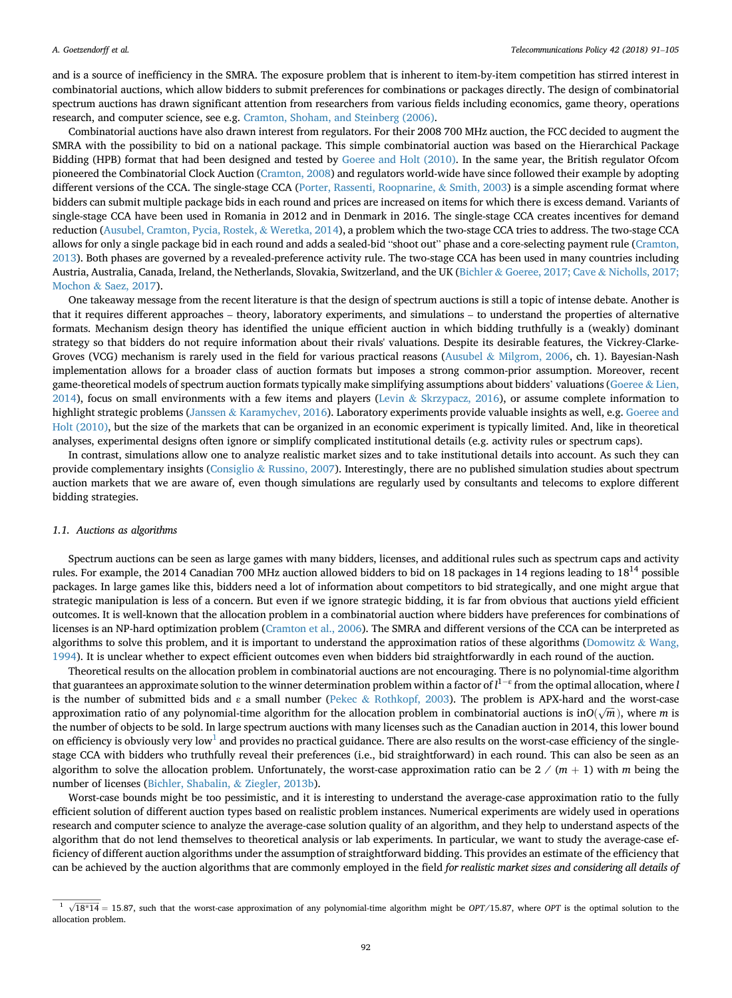and is a source of inefficiency in the SMRA. The exposure problem that is inherent to item-by-item competition has stirred interest in combinatorial auctions, which allow bidders to submit preferences for combinations or packages directly. The design of combinatorial spectrum auctions has drawn significant attention from researchers from various fields including economics, game theory, operations research, and computer science, see e.g. [Cramton, Shoham, and Steinberg \(2006\)](#page-14-0).

Combinatorial auctions have also drawn interest from regulators. For their 2008 700 MHz auction, the FCC decided to augment the SMRA with the possibility to bid on a national package. This simple combinatorial auction was based on the Hierarchical Package Bidding (HPB) format that had been designed and tested by [Goeree and Holt \(2010\)](#page-14-0). In the same year, the British regulator Ofcom pioneered the Combinatorial Clock Auction ([Cramton, 2008\)](#page-14-0) and regulators world-wide have since followed their example by adopting different versions of the CCA. The single-stage CCA [\(Porter, Rassenti, Roopnarine,](#page-14-0) & [Smith, 2003](#page-14-0)) is a simple ascending format where bidders can submit multiple package bids in each round and prices are increased on items for which there is excess demand. Variants of single-stage CCA have been used in Romania in 2012 and in Denmark in 2016. The single-stage CCA creates incentives for demand reduction [\(Ausubel, Cramton, Pycia, Rostek,](#page-14-0) & [Weretka, 2014](#page-14-0)), a problem which the two-stage CCA tries to address. The two-stage CCA allows for only a single package bid in each round and adds a sealed-bid "shoot out" phase and a core-selecting payment rule ([Cramton,](#page-14-0) [2013\)](#page-14-0). Both phases are governed by a revealed-preference activity rule. The two-stage CCA has been used in many countries including Austria, Australia, Canada, Ireland, the Netherlands, Slovakia, Switzerland, and the UK ([Bichler](#page-14-0) & [Goeree, 2017; Cave](#page-14-0) & [Nicholls, 2017;](#page-14-0) [Mochon](#page-14-0) & [Saez, 2017](#page-14-0)).

One takeaway message from the recent literature is that the design of spectrum auctions is still a topic of intense debate. Another is that it requires different approaches – theory, laboratory experiments, and simulations – to understand the properties of alternative formats. Mechanism design theory has identified the unique efficient auction in which bidding truthfully is a (weakly) dominant strategy so that bidders do not require information about their rivals' valuations. Despite its desirable features, the Vickrey-Clarke-Groves (VCG) mechanism is rarely used in the field for various practical reasons [\(Ausubel](#page-14-0) & [Milgrom, 2006,](#page-14-0) ch. 1). Bayesian-Nash implementation allows for a broader class of auction formats but imposes a strong common-prior assumption. Moreover, recent game-theoretical models of spectrum auction formats typically make simplifying assumptions about bidders' valuations [\(Goeree](#page-14-0) & [Lien,](#page-14-0) [2014\)](#page-14-0), focus on small environments with a few items and players ([Levin](#page-14-0) & [Skrzypacz, 2016\)](#page-14-0), or assume complete information to highlight strategic problems [\(Janssen](#page-14-0) & [Karamychev, 2016](#page-14-0)). Laboratory experiments provide valuable insights as well, e.g. [Goeree and](#page-14-0) [Holt \(2010\)](#page-14-0), but the size of the markets that can be organized in an economic experiment is typically limited. And, like in theoretical analyses, experimental designs often ignore or simplify complicated institutional details (e.g. activity rules or spectrum caps).

In contrast, simulations allow one to analyze realistic market sizes and to take institutional details into account. As such they can provide complementary insights ([Consiglio](#page-14-0) & [Russino, 2007](#page-14-0)). Interestingly, there are no published simulation studies about spectrum auction markets that we are aware of, even though simulations are regularly used by consultants and telecoms to explore different bidding strategies.

#### 1.1. Auctions as algorithms

Spectrum auctions can be seen as large games with many bidders, licenses, and additional rules such as spectrum caps and activity rules. For example, the 2014 Canadian 700 MHz auction allowed bidders to bid on 18 packages in 14 regions leading to  $18^{14}$  possible packages. In large games like this, bidders need a lot of information about competitors to bid strategically, and one might argue that strategic manipulation is less of a concern. But even if we ignore strategic bidding, it is far from obvious that auctions yield efficient outcomes. It is well-known that the allocation problem in a combinatorial auction where bidders have preferences for combinations of licenses is an NP-hard optimization problem ([Cramton et al., 2006](#page-14-0)). The SMRA and different versions of the CCA can be interpreted as algorithms to solve this problem, and it is important to understand the approximation ratios of these algorithms ([Domowitz](#page-14-0) & [Wang,](#page-14-0) [1994\)](#page-14-0). It is unclear whether to expect efficient outcomes even when bidders bid straightforwardly in each round of the auction.

Theoretical results on the allocation problem in combinatorial auctions are not encouraging. There is no polynomial-time algorithm that guarantees an approximate solution to the winner determination problem within a factor of  $l^{1-e}$  from the optimal allocation, where  $l$ is the number of submitted bids and  $\varepsilon$  a small number [\(Pekec](#page-14-0) & [Rothkopf, 2003](#page-14-0)). The problem is APX-hard and the worst-case approximation ratio of any polynomial-time algorithm for the allocation problem in combinatorial auctions is  $\text{in}O(\sqrt{m})$ , where m is<br>the number of objects to be sold. In large spectrum quetiens with many licenses such a the number of objects to be sold. In large spectrum auctions with many licenses such as the Canadian auction in 2014, this lower bound on efficiency is obviously very low<sup>1</sup> and provides no practical guidance. There are also results on the worst-case efficiency of the singlestage CCA with bidders who truthfully reveal their preferences (i.e., bid straightforward) in each round. This can also be seen as an algorithm to solve the allocation problem. Unfortunately, the worst-case approximation ratio can be  $2/(m + 1)$  with m being the number of licenses ([Bichler, Shabalin,](#page-14-0) & [Ziegler, 2013b](#page-14-0)).

Worst-case bounds might be too pessimistic, and it is interesting to understand the average-case approximation ratio to the fully efficient solution of different auction types based on realistic problem instances. Numerical experiments are widely used in operations research and computer science to analyze the average-case solution quality of an algorithm, and they help to understand aspects of the algorithm that do not lend themselves to theoretical analysis or lab experiments. In particular, we want to study the average-case efficiency of different auction algorithms under the assumption of straightforward bidding. This provides an estimate of the efficiency that can be achieved by the auction algorithms that are commonly employed in the field for realistic market sizes and considering all details of

 $\frac{1}{\sqrt{18*14}}$  = 15.87, such that the worst-case approximation of any polynomial-time algorithm might be *OPT*/15.87, where *OPT* is the optimal solution to the allocation problem.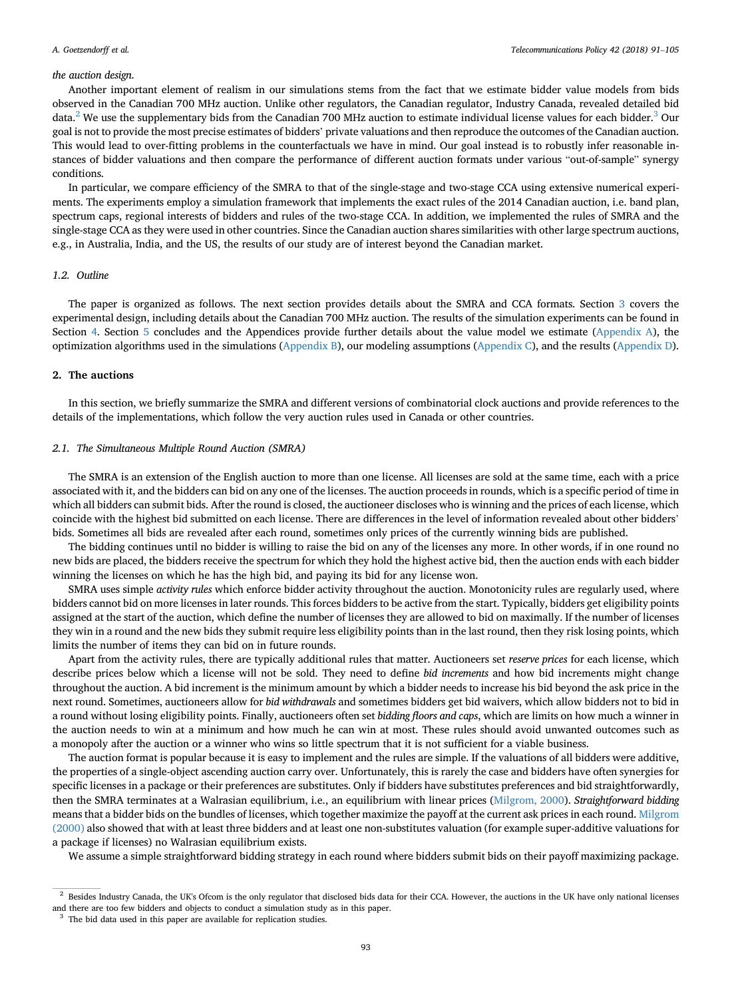## the auction design.

Another important element of realism in our simulations stems from the fact that we estimate bidder value models from bids observed in the Canadian 700 MHz auction. Unlike other regulators, the Canadian regulator, Industry Canada, revealed detailed bid data.<sup>2</sup> We use the supplementary bids from the Canadian 700 MHz auction to estimate individual license values for each bidder.<sup>3</sup> Our goal is not to provide the most precise estimates of bidders' private valuations and then reproduce the outcomes of the Canadian auction. This would lead to over-fitting problems in the counterfactuals we have in mind. Our goal instead is to robustly infer reasonable instances of bidder valuations and then compare the performance of different auction formats under various "out-of-sample" synergy conditions.

In particular, we compare efficiency of the SMRA to that of the single-stage and two-stage CCA using extensive numerical experiments. The experiments employ a simulation framework that implements the exact rules of the 2014 Canadian auction, i.e. band plan, spectrum caps, regional interests of bidders and rules of the two-stage CCA. In addition, we implemented the rules of SMRA and the single-stage CCA as they were used in other countries. Since the Canadian auction shares similarities with other large spectrum auctions, e.g., in Australia, India, and the US, the results of our study are of interest beyond the Canadian market.

## 1.2. Outline

The paper is organized as follows. The next section provides details about the SMRA and CCA formats. Section [3](#page-4-0) covers the experimental design, including details about the Canadian 700 MHz auction. The results of the simulation experiments can be found in Section [4](#page-6-0). Section [5](#page-10-0) concludes and the Appendices provide further details about the value model we estimate ([Appendix A\)](#page-11-0), the optimization algorithms used in the simulations ([Appendix B\)](#page-11-0), our modeling assumptions [\(Appendix C\)](#page-13-0), and the results [\(Appendix D](#page-13-0)).

## 2. The auctions

In this section, we briefly summarize the SMRA and different versions of combinatorial clock auctions and provide references to the details of the implementations, which follow the very auction rules used in Canada or other countries.

## 2.1. The Simultaneous Multiple Round Auction (SMRA)

The SMRA is an extension of the English auction to more than one license. All licenses are sold at the same time, each with a price associated with it, and the bidders can bid on any one of the licenses. The auction proceeds in rounds, which is a specific period of time in which all bidders can submit bids. After the round is closed, the auctioneer discloses who is winning and the prices of each license, which coincide with the highest bid submitted on each license. There are differences in the level of information revealed about other bidders' bids. Sometimes all bids are revealed after each round, sometimes only prices of the currently winning bids are published.

The bidding continues until no bidder is willing to raise the bid on any of the licenses any more. In other words, if in one round no new bids are placed, the bidders receive the spectrum for which they hold the highest active bid, then the auction ends with each bidder winning the licenses on which he has the high bid, and paying its bid for any license won.

SMRA uses simple activity rules which enforce bidder activity throughout the auction. Monotonicity rules are regularly used, where bidders cannot bid on more licenses in later rounds. This forces bidders to be active from the start. Typically, bidders get eligibility points assigned at the start of the auction, which define the number of licenses they are allowed to bid on maximally. If the number of licenses they win in a round and the new bids they submit require less eligibility points than in the last round, then they risk losing points, which limits the number of items they can bid on in future rounds.

Apart from the activity rules, there are typically additional rules that matter. Auctioneers set reserve prices for each license, which describe prices below which a license will not be sold. They need to define bid increments and how bid increments might change throughout the auction. A bid increment is the minimum amount by which a bidder needs to increase his bid beyond the ask price in the next round. Sometimes, auctioneers allow for bid withdrawals and sometimes bidders get bid waivers, which allow bidders not to bid in a round without losing eligibility points. Finally, auctioneers often set bidding floors and caps, which are limits on how much a winner in the auction needs to win at a minimum and how much he can win at most. These rules should avoid unwanted outcomes such as a monopoly after the auction or a winner who wins so little spectrum that it is not sufficient for a viable business.

The auction format is popular because it is easy to implement and the rules are simple. If the valuations of all bidders were additive, the properties of a single-object ascending auction carry over. Unfortunately, this is rarely the case and bidders have often synergies for specific licenses in a package or their preferences are substitutes. Only if bidders have substitutes preferences and bid straightforwardly, then the SMRA terminates at a Walrasian equilibrium, i.e., an equilibrium with linear prices [\(Milgrom, 2000\)](#page-14-0). Straightforward bidding means that a bidder bids on the bundles of licenses, which together maximize the payoff at the current ask prices in each round. [Milgrom](#page-14-0) [\(2000\)](#page-14-0) also showed that with at least three bidders and at least one non-substitutes valuation (for example super-additive valuations for a package if licenses) no Walrasian equilibrium exists.

We assume a simple straightforward bidding strategy in each round where bidders submit bids on their payoff maximizing package.

<sup>&</sup>lt;sup>2</sup> Besides Industry Canada, the UK's Ofcom is the only regulator that disclosed bids data for their CCA. However, the auctions in the UK have only national licenses and there are too few bidders and objects to conduct a simulation study as in this paper.

<sup>&</sup>lt;sup>3</sup> The bid data used in this paper are available for replication studies.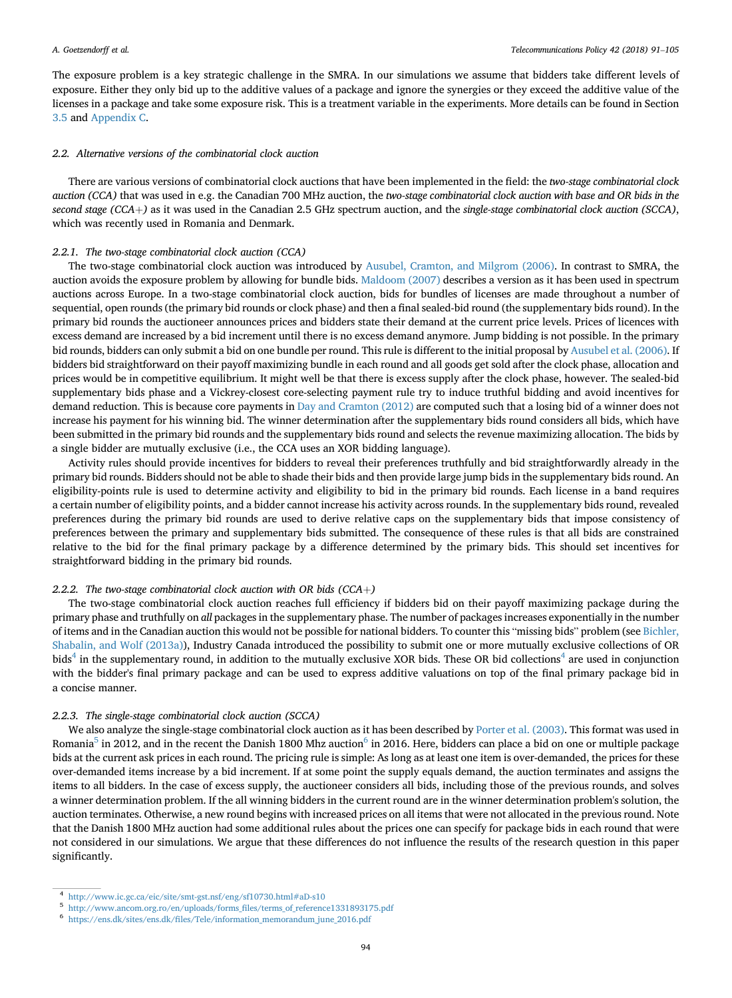The exposure problem is a key strategic challenge in the SMRA. In our simulations we assume that bidders take different levels of exposure. Either they only bid up to the additive values of a package and ignore the synergies or they exceed the additive value of the licenses in a package and take some exposure risk. This is a treatment variable in the experiments. More details can be found in Section [3.5](#page-5-0) and [Appendix C](#page-13-0).

## 2.2. Alternative versions of the combinatorial clock auction

There are various versions of combinatorial clock auctions that have been implemented in the field: the two-stage combinatorial clock auction (CCA) that was used in e.g. the Canadian 700 MHz auction, the two-stage combinatorial clock auction with base and OR bids in the second stage (CCA+) as it was used in the Canadian 2.5 GHz spectrum auction, and the single-stage combinatorial clock auction (SCCA), which was recently used in Romania and Denmark.

## 2.2.1. The two-stage combinatorial clock auction (CCA)

The two-stage combinatorial clock auction was introduced by [Ausubel, Cramton, and Milgrom \(2006\)](#page-14-0). In contrast to SMRA, the auction avoids the exposure problem by allowing for bundle bids. [Maldoom \(2007\)](#page-14-0) describes a version as it has been used in spectrum auctions across Europe. In a two-stage combinatorial clock auction, bids for bundles of licenses are made throughout a number of sequential, open rounds (the primary bid rounds or clock phase) and then a final sealed-bid round (the supplementary bids round). In the primary bid rounds the auctioneer announces prices and bidders state their demand at the current price levels. Prices of licences with excess demand are increased by a bid increment until there is no excess demand anymore. Jump bidding is not possible. In the primary bid rounds, bidders can only submit a bid on one bundle per round. This rule is different to the initial proposal by [Ausubel et al. \(2006\)](#page-14-0). If bidders bid straightforward on their payoff maximizing bundle in each round and all goods get sold after the clock phase, allocation and prices would be in competitive equilibrium. It might well be that there is excess supply after the clock phase, however. The sealed-bid supplementary bids phase and a Vickrey-closest core-selecting payment rule try to induce truthful bidding and avoid incentives for demand reduction. This is because core payments in [Day and Cramton \(2012\)](#page-14-0) are computed such that a losing bid of a winner does not increase his payment for his winning bid. The winner determination after the supplementary bids round considers all bids, which have been submitted in the primary bid rounds and the supplementary bids round and selects the revenue maximizing allocation. The bids by a single bidder are mutually exclusive (i.e., the CCA uses an XOR bidding language).

Activity rules should provide incentives for bidders to reveal their preferences truthfully and bid straightforwardly already in the primary bid rounds. Bidders should not be able to shade their bids and then provide large jump bids in the supplementary bids round. An eligibility-points rule is used to determine activity and eligibility to bid in the primary bid rounds. Each license in a band requires a certain number of eligibility points, and a bidder cannot increase his activity across rounds. In the supplementary bids round, revealed preferences during the primary bid rounds are used to derive relative caps on the supplementary bids that impose consistency of preferences between the primary and supplementary bids submitted. The consequence of these rules is that all bids are constrained relative to the bid for the final primary package by a difference determined by the primary bids. This should set incentives for straightforward bidding in the primary bid rounds.

## 2.2.2. The two-stage combinatorial clock auction with OR bids (CCA+)

The two-stage combinatorial clock auction reaches full efficiency if bidders bid on their payoff maximizing package during the primary phase and truthfully on all packages in the supplementary phase. The number of packages increases exponentially in the number of items and in the Canadian auction this would not be possible for national bidders. To counter this "missing bids" problem (see [Bichler,](#page-14-0) [Shabalin, and Wolf \(2013a\)](#page-14-0)), Industry Canada introduced the possibility to submit one or more mutually exclusive collections of OR bids<sup>4</sup> in the supplementary round, in addition to the mutually exclusive XOR bids. These OR bid collections<sup>4</sup> are used in conjunction with the bidder's final primary package and can be used to express additive valuations on top of the final primary package bid in a concise manner.

#### 2.2.3. The single-stage combinatorial clock auction (SCCA)

We also analyze the single-stage combinatorial clock auction as it has been described by [Porter et al. \(2003\).](#page-14-0) This format was used in Romania<sup>5</sup> in 2012, and in the recent the Danish 1800 Mhz auction<sup>6</sup> in 2016. Here, bidders can place a bid on one or multiple package bids at the current ask prices in each round. The pricing rule is simple: As long as at least one item is over-demanded, the prices for these over-demanded items increase by a bid increment. If at some point the supply equals demand, the auction terminates and assigns the items to all bidders. In the case of excess supply, the auctioneer considers all bids, including those of the previous rounds, and solves a winner determination problem. If the all winning bidders in the current round are in the winner determination problem's solution, the auction terminates. Otherwise, a new round begins with increased prices on all items that were not allocated in the previous round. Note that the Danish 1800 MHz auction had some additional rules about the prices one can specify for package bids in each round that were not considered in our simulations. We argue that these differences do not influence the results of the research question in this paper significantly.

<sup>4</sup> <http://www.ic.gc.ca/eic/site/smt-gst.nsf/eng/sf10730.html#aD-s10>

<sup>5</sup> [http://www.ancom.org.ro/en/uploads/forms\\_](http://www.ancom.org.ro/en/uploads/forms_files/terms_of_reference1331893175.pdf)files/terms\_of\_reference1331893175.pdf

<sup>6</sup> https://ens.dk/sites/ens.dk/fi[les/Tele/information\\_memorandum\\_june\\_2016.pdf](https://ens.dk/sites/ens.dk/files/Tele/information_memorandum_june_2016.pdf)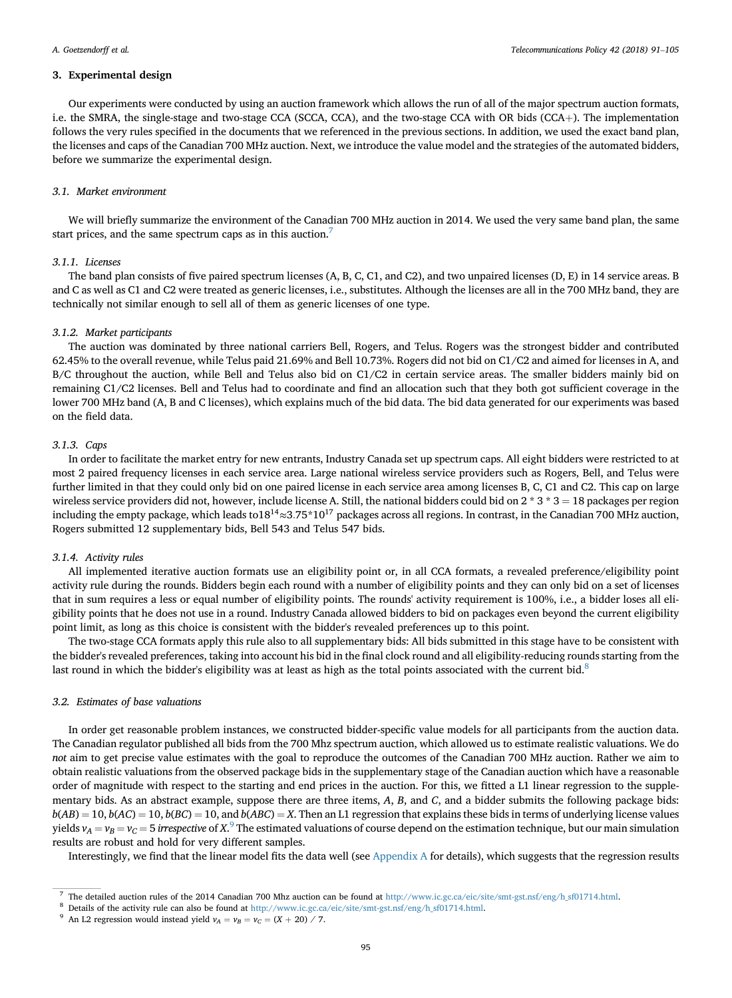## <span id="page-4-0"></span>3. Experimental design

Our experiments were conducted by using an auction framework which allows the run of all of the major spectrum auction formats, i.e. the SMRA, the single-stage and two-stage CCA (SCCA, CCA), and the two-stage CCA with OR bids (CCA+). The implementation follows the very rules specified in the documents that we referenced in the previous sections. In addition, we used the exact band plan, the licenses and caps of the Canadian 700 MHz auction. Next, we introduce the value model and the strategies of the automated bidders, before we summarize the experimental design.

#### 3.1. Market environment

We will briefly summarize the environment of the Canadian 700 MHz auction in 2014. We used the very same band plan, the same start prices, and the same spectrum caps as in this auction.<sup>7</sup>

#### 3.1.1. Licenses

The band plan consists of five paired spectrum licenses (A, B, C, C1, and C2), and two unpaired licenses (D, E) in 14 service areas. B and C as well as C1 and C2 were treated as generic licenses, i.e., substitutes. Although the licenses are all in the 700 MHz band, they are technically not similar enough to sell all of them as generic licenses of one type.

#### 3.1.2. Market participants

The auction was dominated by three national carriers Bell, Rogers, and Telus. Rogers was the strongest bidder and contributed 62.45% to the overall revenue, while Telus paid 21.69% and Bell 10.73%. Rogers did not bid on C1/C2 and aimed for licenses in A, and B/C throughout the auction, while Bell and Telus also bid on C1/C2 in certain service areas. The smaller bidders mainly bid on remaining C1/C2 licenses. Bell and Telus had to coordinate and find an allocation such that they both got sufficient coverage in the lower 700 MHz band (A, B and C licenses), which explains much of the bid data. The bid data generated for our experiments was based on the field data.

## 3.1.3. Caps

In order to facilitate the market entry for new entrants, Industry Canada set up spectrum caps. All eight bidders were restricted to at most 2 paired frequency licenses in each service area. Large national wireless service providers such as Rogers, Bell, and Telus were further limited in that they could only bid on one paired license in each service area among licenses B, C, C1 and C2. This cap on large wireless service providers did not, however, include license A. Still, the national bidders could bid on  $2 * 3 * 3 = 18$  packages per region including the empty package, which leads to18<sup>14</sup>≈3.75\*10<sup>17</sup> packages across all regions. In contrast, in the Canadian 700 MHz auction, Rogers submitted 12 supplementary bids, Bell 543 and Telus 547 bids.

#### 3.1.4. Activity rules

All implemented iterative auction formats use an eligibility point or, in all CCA formats, a revealed preference/eligibility point activity rule during the rounds. Bidders begin each round with a number of eligibility points and they can only bid on a set of licenses that in sum requires a less or equal number of eligibility points. The rounds' activity requirement is 100%, i.e., a bidder loses all eligibility points that he does not use in a round. Industry Canada allowed bidders to bid on packages even beyond the current eligibility point limit, as long as this choice is consistent with the bidder's revealed preferences up to this point.

The two-stage CCA formats apply this rule also to all supplementary bids: All bids submitted in this stage have to be consistent with the bidder's revealed preferences, taking into account his bid in the final clock round and all eligibility-reducing rounds starting from the last round in which the bidder's eligibility was at least as high as the total points associated with the current bid.<sup>8</sup>

#### 3.2. Estimates of base valuations

In order get reasonable problem instances, we constructed bidder-specific value models for all participants from the auction data. The Canadian regulator published all bids from the 700 Mhz spectrum auction, which allowed us to estimate realistic valuations. We do not aim to get precise value estimates with the goal to reproduce the outcomes of the Canadian 700 MHz auction. Rather we aim to obtain realistic valuations from the observed package bids in the supplementary stage of the Canadian auction which have a reasonable order of magnitude with respect to the starting and end prices in the auction. For this, we fitted a L1 linear regression to the supplementary bids. As an abstract example, suppose there are three items, A, B, and C, and a bidder submits the following package bids:  $b(AB) = 10$ ,  $b(AC) = 10$ ,  $b(BC) = 10$ , and  $b(ABC) = X$ . Then an L1 regression that explains these bids in terms of underlying license values yields  $v_A = v_B = v_C = 5$  irrespective of X.<sup>9</sup> The estimated valuations of course depend on the estimation technique, but our main simulation require are reported and hold for very different semples. results are robust and hold for very different samples.

Interestingly, we find that the linear model fits the data well (see [Appendix A](#page-11-0) for details), which suggests that the regression results

<sup>7</sup> The detailed auction rules of the 2014 Canadian 700 Mhz auction can be found at [http://www.ic.gc.ca/eic/site/smt-gst.nsf/eng/h\\_sf01714.html](http://www.ic.gc.ca/eic/site/smt-gst.nsf/eng/h_sf01714.html).

<sup>8</sup> Details of the activity rule can also be found at [http://www.ic.gc.ca/eic/site/smt-gst.nsf/eng/h\\_sf01714.html.](http://www.ic.gc.ca/eic/site/smt-gst.nsf/eng/h_sf01714.html)

<sup>&</sup>lt;sup>9</sup> An L2 regression would instead yield  $v_A = v_B = v_C = (X + 20) / 7$ .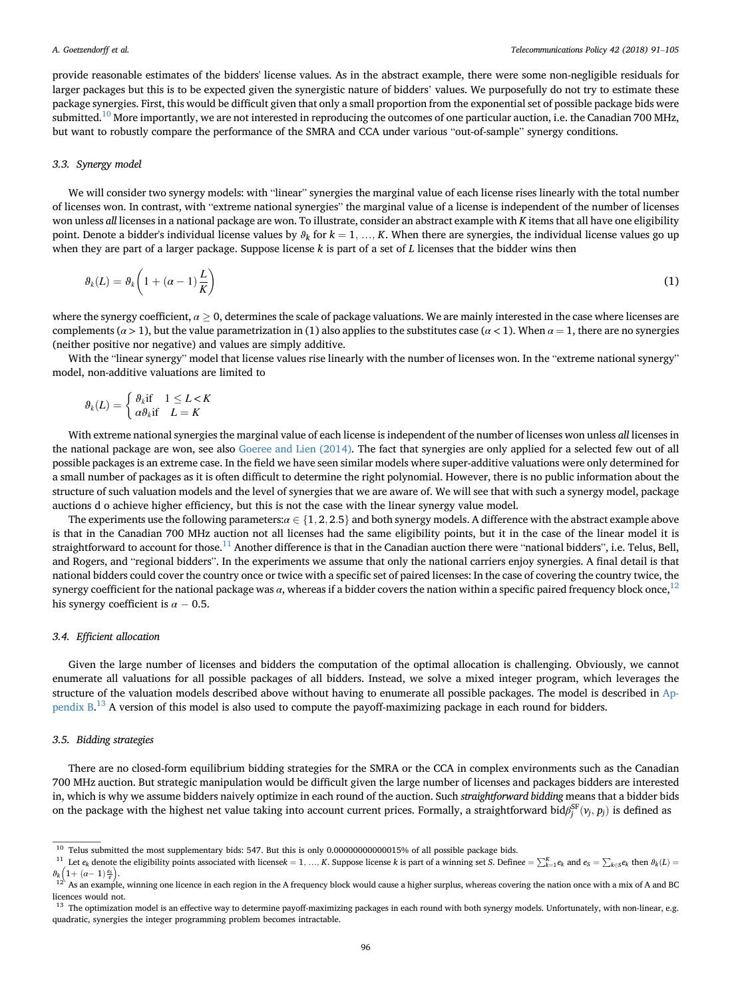<span id="page-5-0"></span>provide reasonable estimates of the bidders' license values. As in the abstract example, there were some non-negligible residuals for larger packages but this is to be expected given the synergistic nature of bidders' values. We purposefully do not try to estimate these package synergies. First, this would be difficult given that only a small proportion from the exponential set of possible package bids were submitted.<sup>10</sup> More importantly, we are not interested in reproducing the outcomes of one particular auction, i.e. the Canadian 700 MHz, but want to robustly compare the performance of the SMRA and CCA under various "out-of-sample" synergy conditions.

#### 3.3. Synergy model

We will consider two synergy models: with "linear" synergies the marginal value of each license rises linearly with the total number of licenses won. In contrast, with "extreme national synergies" the marginal value of a license is independent of the number of licenses won unless all licenses in a national package are won. To illustrate, consider an abstract example with K items that all have one eligibility point. Denote a bidder's individual license values by  $\theta_k$  for  $k = 1, ..., K$ . When there are synergies, the individual license values go up when they are part of a larger package. Suppose license  $k$  is part of a set of  $L$  licenses that the bidder wins then

$$
\vartheta_k(L) = \vartheta_k \left( 1 + (\alpha - 1) \frac{L}{K} \right) \tag{1}
$$

where the synergy coefficient,  $\alpha \geq 0$ , determines the scale of package valuations. We are mainly interested in the case where licenses are complements ( $\alpha$  > 1), but the value parametrization in (1) also applies to the substitutes case ( $\alpha$  < 1). When  $\alpha$  = 1, there are no synergies (neither positive nor negative) and values are simply additive.

With the "linear synergy" model that license values rise linearly with the number of licenses won. In the "extreme national synergy" model, non-additive valuations are limited to

$$
\vartheta_k(L) = \begin{cases} \vartheta_k \text{if } 1 \le L < K \\ \alpha \vartheta_k \text{if } L = K \end{cases}
$$

With extreme national synergies the marginal value of each license is independent of the number of licenses won unless all licenses in the national package are won, see also [Goeree and Lien \(2014\).](#page-14-0) The fact that synergies are only applied for a selected few out of all possible packages is an extreme case. In the field we have seen similar models where super-additive valuations were only determined for a small number of packages as it is often difficult to determine the right polynomial. However, there is no public information about the structure of such valuation models and the level of synergies that we are aware of. We will see that with such a synergy model, package auctions d o achieve higher efficiency, but this is not the case with the linear synergy value model.

The experiments use the following parameters: $\alpha \in \{1, 2, 2.5\}$  and both synergy models. A difference with the abstract example above is that in the Canadian 700 MHz auction not all licenses had the same eligibility points, but it in the case of the linear model it is straightforward to account for those.<sup>11</sup> Another difference is that in the Canadian auction there were "national bidders", i.e. Telus, Bell, and Rogers, and "regional bidders". In the experiments we assume that only the national carriers enjoy synergies. A final detail is that national bidders could cover the country once or twice with a specific set of paired licenses: In the case of covering the country twice, the synergy coefficient for the national package was  $\alpha$ , whereas if a bidder covers the nation within a specific paired frequency block once,<sup>12</sup> his synergy coefficient is  $\alpha$  – 0.5.

### 3.4. Efficient allocation

Given the large number of licenses and bidders the computation of the optimal allocation is challenging. Obviously, we cannot enumerate all valuations for all possible packages of all bidders. Instead, we solve a mixed integer program, which leverages the structure of the valuation models described above without having to enumerate all possible packages. The model is described in [Ap](#page-11-0)pendix  $B<sup>13</sup>$  A version of this model is also used to compute the payoff-maximizing package in each round for bidders.

## 3.5. Bidding strategies

There are no closed-form equilibrium bidding strategies for the SMRA or the CCA in complex environments such as the Canadian 700 MHz auction. But strategic manipulation would be difficult given the large number of licenses and packages bidders are interested in, which is why we assume bidders naively optimize in each round of the auction. Such straightforward bidding means that a bidder bids on the package with the highest net value taking into account current prices. Formally, a straightforward bid $\beta_j^{\text{SF}}(v_j, p_j)$  is defined as

 $10$  Telus submitted the most supplementary bids: 547. But this is only 0.00000000000015% of all possible package bids.

<sup>&</sup>lt;sup>11</sup> Let  $e_k$  denote the eligibility points associated with licensek = 1, …, K. Suppose license k is part of a winning set S. Definee =  $\sum_{k=1}^{K} e_k$  and  $e_S = \sum_{k\in S} e_k$  then  $\vartheta_k(L) = \vartheta_k(A)$  $\frac{\partial_k \left(1 + (\alpha - 1) \frac{\rho_s}{e}\right)}{12}$ 

As an example, winning one licence in each region in the A frequency block would cause a higher surplus, whereas covering the nation once with a mix of A and BC licences would not.

<sup>&</sup>lt;sup>13</sup> The optimization model is an effective way to determine payoff-maximizing packages in each round with both synergy models. Unfortunately, with non-linear, e.g. quadratic, synergies the integer programming problem becomes intractable.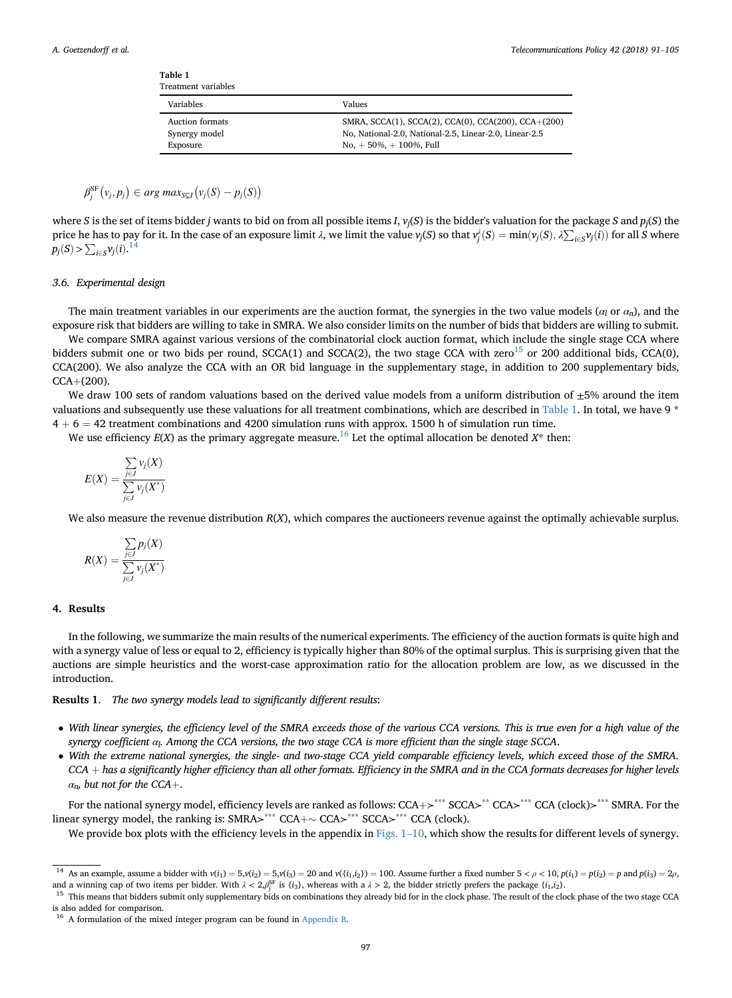<span id="page-6-0"></span>

| Table 1<br>Treatment variables |                                                        |
|--------------------------------|--------------------------------------------------------|
| Variables                      | Values                                                 |
| Auction formats                | SMRA, SCCA(1), SCCA(2), CCA(0), CCA(200), CCA+(200)    |
| Synergy model                  | No, National-2.0, National-2.5, Linear-2.0, Linear-2.5 |
| Exposure                       | $No, +50\%, +100\%, Full$                              |

 $\beta_j^{\text{SF}}(v_j, p_j) \in \arg \max_{S \subseteq I} (v_j(S) - p_j(S))$ 

where S is the set of items bidder j wants to bid on from all possible items I,  $v_i(S)$  is the bidder's valuation for the package S and  $p_i(S)$  the price he has to pay for it. In the case of an exposure limit  $\lambda$ , we limit the value  $v_j(S)$  so that  $v_j^{\lambda}(S) = \min(v_j(S), \lambda \sum_{i \in S} v_j(i))$  for all S where  $p_j(S) > \sum_{i \in S} \nu_j(i).^{14}$ 

## 3.6. Experimental design

The main treatment variables in our experiments are the auction format, the synergies in the two value models ( $\alpha_l$  or  $\alpha_n$ ), and the exposure risk that bidders are willing to take in SMRA. We also consider limits on the number of bids that bidders are willing to submit.

We compare SMRA against various versions of the combinatorial clock auction format, which include the single stage CCA where bidders submit one or two bids per round, SCCA(1) and SCCA(2), the two stage CCA with zero<sup>15</sup> or 200 additional bids, CCA(0), CCA(200). We also analyze the CCA with an OR bid language in the supplementary stage, in addition to 200 supplementary bids,  $CCA + (200)$ .

We draw 100 sets of random valuations based on the derived value models from a uniform distribution of  $\pm 5\%$  around the item valuations and subsequently use these valuations for all treatment combinations, which are described in Table 1. In total, we have 9 \*  $4 + 6 = 42$  treatment combinations and 4200 simulation runs with approx. 1500 h of simulation run time.

We use efficiency  $E(X)$  as the primary aggregate measure.<sup>16</sup> Let the optimal allocation be denoted  $X^*$  then:

$$
E(X) = \frac{\sum_{j \in J} v_j(X)}{\sum_{j \in J} v_j(X^*)}
$$

We also measure the revenue distribution  $R(X)$ , which compares the auctioneers revenue against the optimally achievable surplus.

$$
R(X) = \frac{\sum_{j \in J} p_j(X)}{\sum_{j \in J} v_j(X^*)}
$$

## 4. Results

In the following, we summarize the main results of the numerical experiments. The efficiency of the auction formats is quite high and with a synergy value of less or equal to 2, efficiency is typically higher than 80% of the optimal surplus. This is surprising given that the auctions are simple heuristics and the worst-case approximation ratio for the allocation problem are low, as we discussed in the introduction.

Results 1. The two synergy models lead to significantly different results:

- With linear synergies, the efficiency level of the SMRA exceeds those of the various CCA versions. This is true even for a high value of the synergy coefficient  $\alpha_l$ . Among the CCA versions, the two stage CCA is more efficient than the single stage SCCA.
- With the extreme national synergies, the single- and two-stage CCA yield comparable efficiency levels, which exceed those of the SMRA. CCA + has a significantly higher efficiency than all other formats. Efficiency in the SMRA and in the CCA formats decreases for higher levels  $\alpha_n$ , but not for the CCA+.

For the national synergy model, efficiency levels are ranked as follows:  $CCA + \gt^{**} SCCA \gt^{**} CCA \lt^{**} CCA$  (clock) $\gt^{***}$  SMRA. For the linear synergy model, the ranking is: SMRA $>***$  CCA $+$   $\sim$  CCA $>***$  SCCA $>***$  CCA (clock).

We provide box plots with the efficiency levels in the appendix in Figs.  $1-10$ , which show the results for different levels of synergy.

<sup>&</sup>lt;sup>14</sup> As an example, assume a bidder with  $v(i_1) = 5$ , $v(i_2) = 5$ , $v(i_3) = 20$  and  $v({i_1,i_2}) = 100$ . Assume further a fixed number  $5 < \rho < 10$ ,  $p(i_1) = p(i_2) = p$  and  $p(i_3) = 2\rho$ , and a winning cap of two items per bidder. With  $\lambda < 2, \beta_i^{SF}$  is  $\{i_3\}$ , whereas with a  $\lambda > 2$ , the bidder strictly prefers the package  $\{i_1, i_2\}$ .

<sup>&</sup>lt;sup>15</sup> This means that bidders submit only supplementary bids on combinations they already bid for in the clock phase. The result of the clock phase of the two stage CCA is also added for comparison.

 $5$  A formulation of the mixed integer program can be found in [Appendix B.](#page-11-0)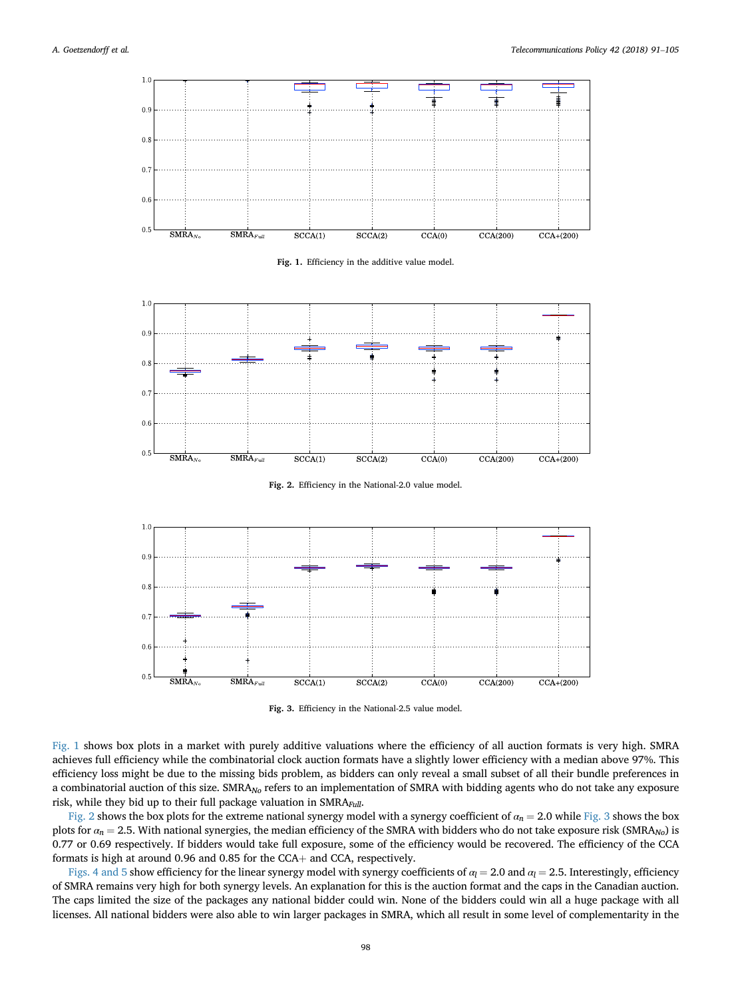<span id="page-7-0"></span>

Fig. 1. Efficiency in the additive value model.



Fig. 2. Efficiency in the National-2.0 value model.



Fig. 3. Efficiency in the National-2.5 value model.

Fig. 1 shows box plots in a market with purely additive valuations where the efficiency of all auction formats is very high. SMRA achieves full efficiency while the combinatorial clock auction formats have a slightly lower efficiency with a median above 97%. This efficiency loss might be due to the missing bids problem, as bidders can only reveal a small subset of all their bundle preferences in a combinatorial auction of this size. SMRA<sub>No</sub> refers to an implementation of SMRA with bidding agents who do not take any exposure risk, while they bid up to their full package valuation in  $SMRA_{Full}$ .

Fig. 2 shows the box plots for the extreme national synergy model with a synergy coefficient of  $\alpha_n = 2.0$  while Fig. 3 shows the box plots for  $a_n = 2.5$ . With national synergies, the median efficiency of the SMRA with bidders who do not take exposure risk (SMRA<sub>No</sub>) is 0.77 or 0.69 respectively. If bidders would take full exposure, some of the efficiency would be recovered. The efficiency of the CCA formats is high at around 0.96 and 0.85 for the CCA $+$  and CCA, respectively.

[Figs. 4 and 5](#page-8-0) show efficiency for the linear synergy model with synergy coefficients of  $\alpha_l = 2.0$  and  $\alpha_l = 2.5$ . Interestingly, efficiency of SMRA remains very high for both synergy levels. An explanation for this is the auction format and the caps in the Canadian auction. The caps limited the size of the packages any national bidder could win. None of the bidders could win all a huge package with all licenses. All national bidders were also able to win larger packages in SMRA, which all result in some level of complementarity in the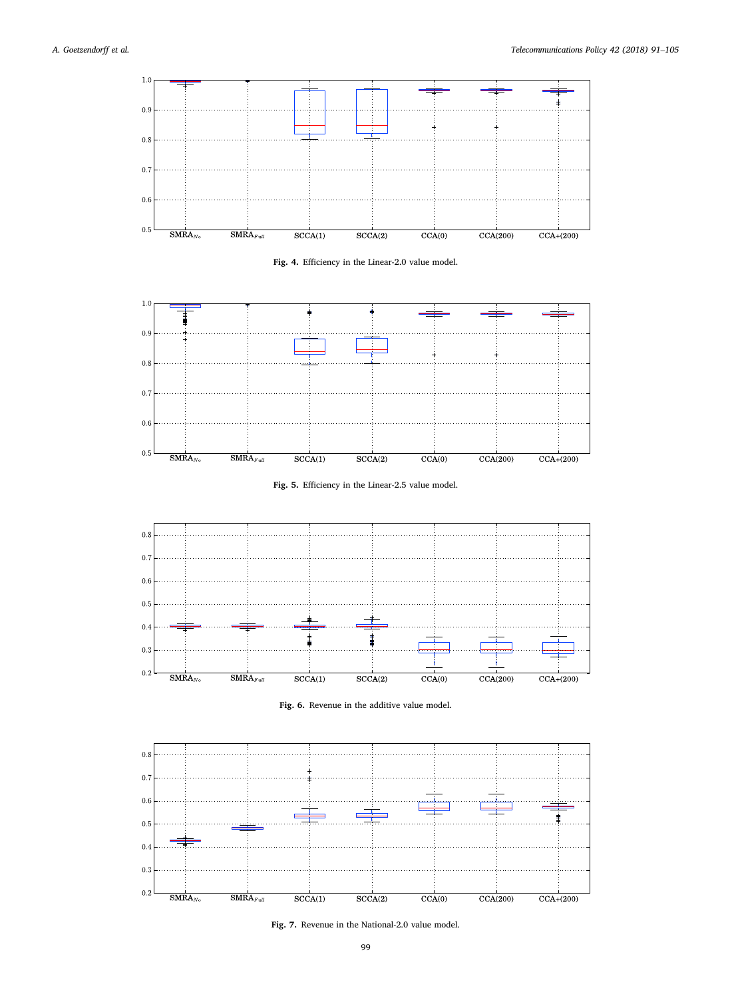<span id="page-8-0"></span>









Fig. 6. Revenue in the additive value model.



Fig. 7. Revenue in the National-2.0 value model.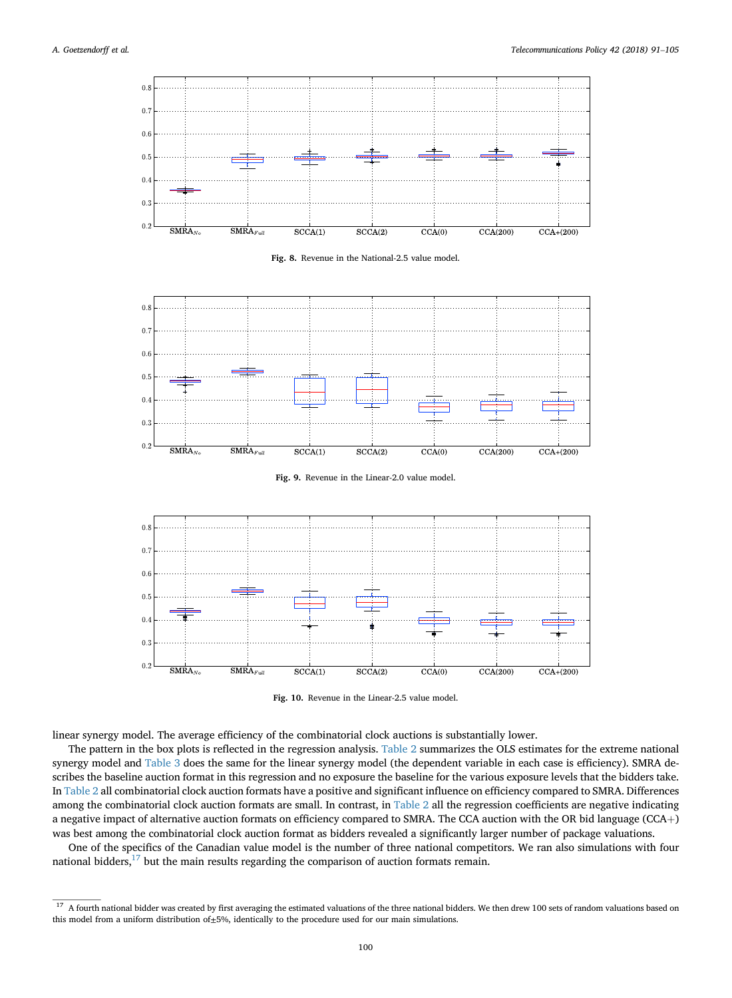<span id="page-9-0"></span>

Fig. 8. Revenue in the National-2.5 value model.



Fig. 9. Revenue in the Linear-2.0 value model.



Fig. 10. Revenue in the Linear-2.5 value model.

linear synergy model. The average efficiency of the combinatorial clock auctions is substantially lower.

The pattern in the box plots is reflected in the regression analysis. [Table 2](#page-10-0) summarizes the OLS estimates for the extreme national synergy model and [Table 3](#page-10-0) does the same for the linear synergy model (the dependent variable in each case is efficiency). SMRA describes the baseline auction format in this regression and no exposure the baseline for the various exposure levels that the bidders take. In [Table 2](#page-10-0) all combinatorial clock auction formats have a positive and significant influence on efficiency compared to SMRA. Differences among the combinatorial clock auction formats are small. In contrast, in [Table 2](#page-10-0) all the regression coefficients are negative indicating a negative impact of alternative auction formats on efficiency compared to SMRA. The CCA auction with the OR bid language (CCA+) was best among the combinatorial clock auction format as bidders revealed a significantly larger number of package valuations.

One of the specifics of the Canadian value model is the number of three national competitors. We ran also simulations with four national bidders, $17$  but the main results regarding the comparison of auction formats remain.

<sup>&</sup>lt;sup>17</sup> A fourth national bidder was created by first averaging the estimated valuations of the three national bidders. We then drew 100 sets of random valuations based on this model from a uniform distribution of±5%, identically to the procedure used for our main simulations.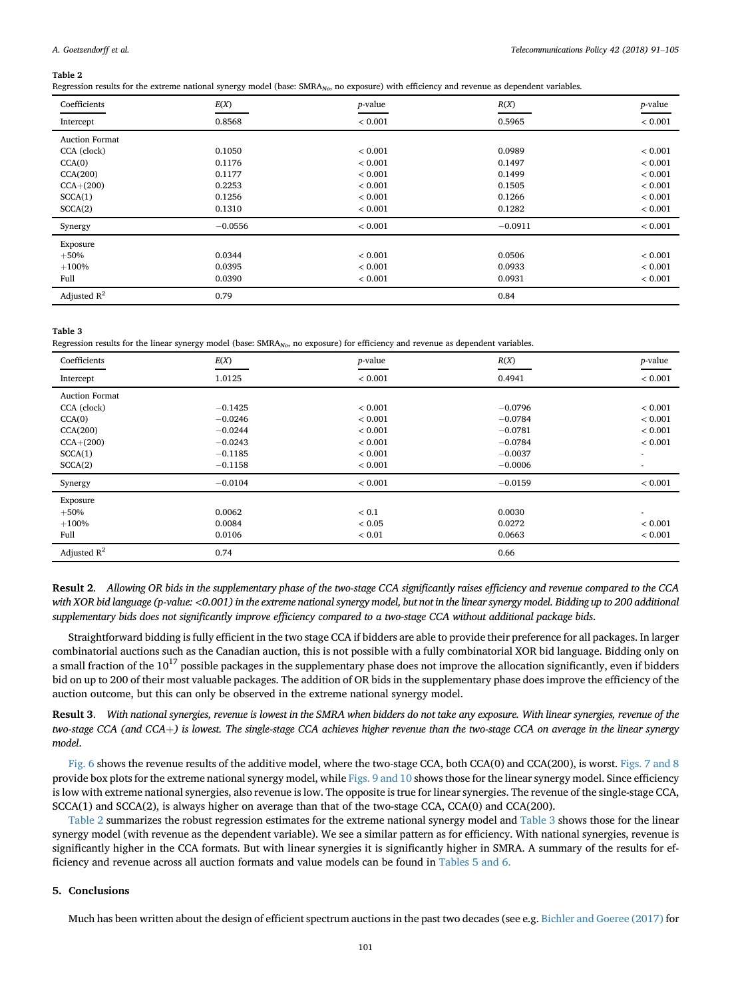#### <span id="page-10-0"></span>Table 2

Regression results for the extreme national synergy model (base:  $SMRA_{No}$ , no exposure) with efficiency and revenue as dependent variables.

| Coefficients          | E(X)      | <i>p</i> -value | R(X)      | $p$ -value  |
|-----------------------|-----------|-----------------|-----------|-------------|
| Intercept             | 0.8568    | < 0.001         | 0.5965    | < 0.001     |
| <b>Auction Format</b> |           |                 |           |             |
| CCA (clock)           | 0.1050    | ${}< 0.001$     | 0.0989    | ${}< 0.001$ |
| CCA(0)                | 0.1176    | ${}< 0.001$     | 0.1497    | ${}< 0.001$ |
| CCA(200)              | 0.1177    | < 0.001         | 0.1499    | ${}< 0.001$ |
| $CCA+(200)$           | 0.2253    | < 0.001         | 0.1505    | < 0.001     |
| SCCA(1)               | 0.1256    | ${}< 0.001$     | 0.1266    | < 0.001     |
| SCCA(2)               | 0.1310    | ${}< 0.001$     | 0.1282    | ${}< 0.001$ |
| Synergy               | $-0.0556$ | ${}< 0.001$     | $-0.0911$ | < 0.001     |
| Exposure              |           |                 |           |             |
| $+50%$                | 0.0344    | ${}< 0.001$     | 0.0506    | < 0.001     |
| $+100%$               | 0.0395    | ${}< 0.001$     | 0.0933    | < 0.001     |
| Full                  | 0.0390    | ${}< 0.001$     | 0.0931    | < 0.001     |
| Adjusted $R^2$        | 0.79      |                 | 0.84      |             |

Table 3

Regression results for the linear synergy model (base: SMRA<sub>No</sub>, no exposure) for efficiency and revenue as dependent variables.

| Coefficients          | E(X)      | <i>p</i> -value | R(X)      | $p$ -value               |
|-----------------------|-----------|-----------------|-----------|--------------------------|
| Intercept             | 1.0125    | ${}< 0.001$     | 0.4941    | ${}< 0.001$              |
| <b>Auction Format</b> |           |                 |           |                          |
| CCA (clock)           | $-0.1425$ | < 0.001         | $-0.0796$ | ${}< 0.001$              |
| CCA(0)                | $-0.0246$ | < 0.001         | $-0.0784$ | ${}< 0.001$              |
| CCA(200)              | $-0.0244$ | < 0.001         | $-0.0781$ | ${}< 0.001$              |
| $CCA+(200)$           | $-0.0243$ | < 0.001         | $-0.0784$ | ${}< 0.001$              |
| SCCA(1)               | $-0.1185$ | < 0.001         | $-0.0037$ | ٠                        |
| SCCA(2)               | $-0.1158$ | < 0.001         | $-0.0006$ | ٠                        |
| Synergy               | $-0.0104$ | < 0.001         | $-0.0159$ | ${}< 0.001$              |
| Exposure              |           |                 |           |                          |
| $+50%$                | 0.0062    | < 0.1           | 0.0030    | $\overline{\phantom{a}}$ |
| $+100%$               | 0.0084    | < 0.05          | 0.0272    | < 0.001                  |
| Full                  | 0.0106    | < 0.01          | 0.0663    | ${}< 0.001$              |
| Adjusted $R^2$        | 0.74      |                 | 0.66      |                          |

Result 2. Allowing OR bids in the supplementary phase of the two-stage CCA significantly raises efficiency and revenue compared to the CCA with XOR bid language (p-value: <0.001) in the extreme national synergy model, but not in the linear synergy model. Bidding up to 200 additional supplementary bids does not significantly improve efficiency compared to a two-stage CCA without additional package bids.

Straightforward bidding is fully efficient in the two stage CCA if bidders are able to provide their preference for all packages. In larger combinatorial auctions such as the Canadian auction, this is not possible with a fully combinatorial XOR bid language. Bidding only on a small fraction of the  $10^{17}$  possible packages in the supplementary phase does not improve the allocation significantly, even if bidders bid on up to 200 of their most valuable packages. The addition of OR bids in the supplementary phase does improve the efficiency of the auction outcome, but this can only be observed in the extreme national synergy model.

Result 3. With national synergies, revenue is lowest in the SMRA when bidders do not take any exposure. With linear synergies, revenue of the two-stage CCA (and CCA+) is lowest. The single-stage CCA achieves higher revenue than the two-stage CCA on average in the linear synergy model.

[Fig. 6](#page-8-0) shows the revenue results of the additive model, where the two-stage CCA, both CCA(0) and CCA(200), is worst. [Figs. 7 and 8](#page-8-0) provide box plots for the extreme national synergy model, while [Figs. 9 and 10](#page-9-0) shows those for the linear synergy model. Since efficiency is low with extreme national synergies, also revenue is low. The opposite is true for linear synergies. The revenue of the single-stage CCA, SCCA(1) and SCCA(2), is always higher on average than that of the two-stage CCA, CCA(0) and CCA(200).

Table 2 summarizes the robust regression estimates for the extreme national synergy model and Table 3 shows those for the linear synergy model (with revenue as the dependent variable). We see a similar pattern as for efficiency. With national synergies, revenue is significantly higher in the CCA formats. But with linear synergies it is significantly higher in SMRA. A summary of the results for efficiency and revenue across all auction formats and value models can be found in [Tables 5 and 6.](#page-13-0)

## 5. Conclusions

Much has been written about the design of efficient spectrum auctions in the past two decades (see e.g. [Bichler and Goeree \(2017\)](#page-14-0) for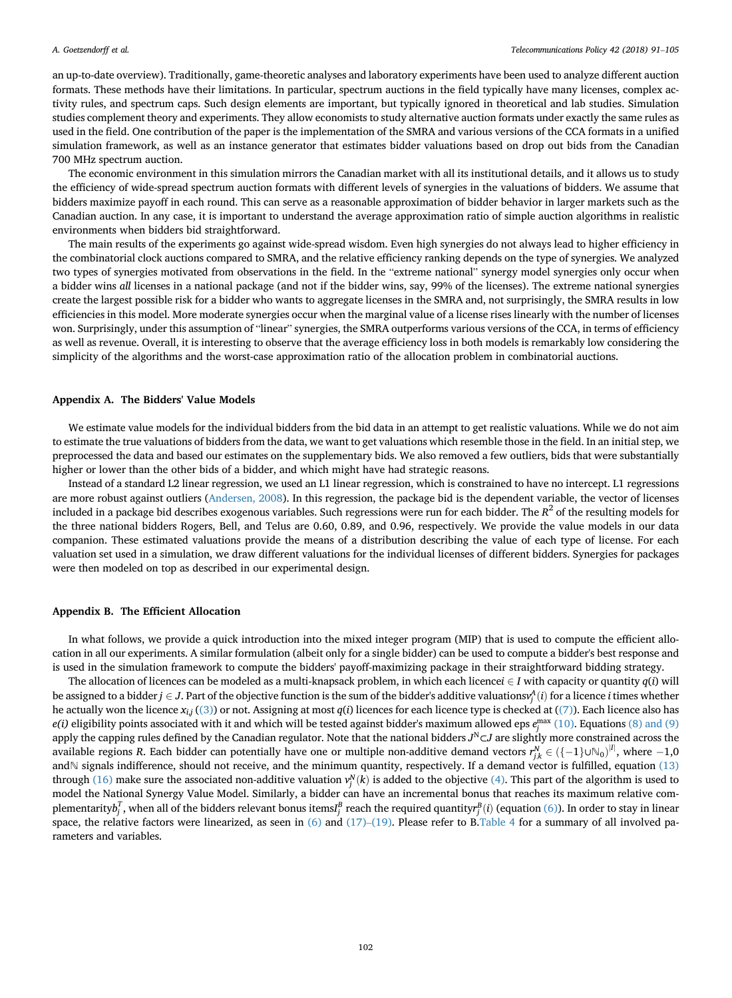<span id="page-11-0"></span>an up-to-date overview). Traditionally, game-theoretic analyses and laboratory experiments have been used to analyze different auction formats. These methods have their limitations. In particular, spectrum auctions in the field typically have many licenses, complex activity rules, and spectrum caps. Such design elements are important, but typically ignored in theoretical and lab studies. Simulation studies complement theory and experiments. They allow economists to study alternative auction formats under exactly the same rules as used in the field. One contribution of the paper is the implementation of the SMRA and various versions of the CCA formats in a unified simulation framework, as well as an instance generator that estimates bidder valuations based on drop out bids from the Canadian 700 MHz spectrum auction.

The economic environment in this simulation mirrors the Canadian market with all its institutional details, and it allows us to study the efficiency of wide-spread spectrum auction formats with different levels of synergies in the valuations of bidders. We assume that bidders maximize payoff in each round. This can serve as a reasonable approximation of bidder behavior in larger markets such as the Canadian auction. In any case, it is important to understand the average approximation ratio of simple auction algorithms in realistic environments when bidders bid straightforward.

The main results of the experiments go against wide-spread wisdom. Even high synergies do not always lead to higher efficiency in the combinatorial clock auctions compared to SMRA, and the relative efficiency ranking depends on the type of synergies. We analyzed two types of synergies motivated from observations in the field. In the "extreme national" synergy model synergies only occur when a bidder wins all licenses in a national package (and not if the bidder wins, say, 99% of the licenses). The extreme national synergies create the largest possible risk for a bidder who wants to aggregate licenses in the SMRA and, not surprisingly, the SMRA results in low efficiencies in this model. More moderate synergies occur when the marginal value of a license rises linearly with the number of licenses won. Surprisingly, under this assumption of "linear" synergies, the SMRA outperforms various versions of the CCA, in terms of efficiency as well as revenue. Overall, it is interesting to observe that the average efficiency loss in both models is remarkably low considering the simplicity of the algorithms and the worst-case approximation ratio of the allocation problem in combinatorial auctions.

#### Appendix A. The Bidders' Value Models

We estimate value models for the individual bidders from the bid data in an attempt to get realistic valuations. While we do not aim to estimate the true valuations of bidders from the data, we want to get valuations which resemble those in the field. In an initial step, we preprocessed the data and based our estimates on the supplementary bids. We also removed a few outliers, bids that were substantially higher or lower than the other bids of a bidder, and which might have had strategic reasons.

Instead of a standard L2 linear regression, we used an L1 linear regression, which is constrained to have no intercept. L1 regressions are more robust against outliers [\(Andersen, 2008](#page-14-0)). In this regression, the package bid is the dependent variable, the vector of licenses included in a package bid describes exogenous variables. Such regressions were run for each bidder. The  $R^2$  of the resulting models for the three national bidders Rogers, Bell, and Telus are 0.60, 0.89, and 0.96, respectively. We provide the value models in our data companion. These estimated valuations provide the means of a distribution describing the value of each type of license. For each valuation set used in a simulation, we draw different valuations for the individual licenses of different bidders. Synergies for packages were then modeled on top as described in our experimental design.

## Appendix B. The Efficient Allocation

In what follows, we provide a quick introduction into the mixed integer program (MIP) that is used to compute the efficient allocation in all our experiments. A similar formulation (albeit only for a single bidder) can be used to compute a bidder's best response and is used in the simulation framework to compute the bidders' payoff-maximizing package in their straightforward bidding strategy.

The allocation of licences can be modeled as a multi-knapsack problem, in which each licencei  $\in I$  with capacity or quantity  $q(i)$  will be assigned to a bidder  $j \in J$ . Part of the objective function is the sum of the bidder's additive valuationsv $j^A(i)$  for a licence *i* times whether he actually won the licence  $x_{i,j}$  [\(\(3\)\)](#page-12-0) or not. Assigning at most  $q(i)$  licences for each licence type is checked at ([\(7\)](#page-12-0)). Each licence also has  $e(i)$  eligibility points associated with it and which will be tested against bidder's maximum allowed eps  $e_j^{\max}(10)$  $e_j^{\max}(10)$ . Equations [\(8\) and \(9\)](#page-12-0) apply the capping rules defined by the Canadian regulator. Note that the national bidders J<sup>N</sup>⊂J are slightly more constrained across the available regions R. Each bidder can potentially have one or multiple non-additive demand vectors  $r_{jk}^N \in (\{-1\} \cup \mathbb{N}_0)^{|I|}$ , where  $-1,0$ <br>and  $\mathbb{N}_0$  signals indifference, should not receive, and the minimum quantit andN signals indifference, should not receive, and the minimum quantity, respectively. If a demand vector is fulfilled, equation [\(13\)](#page-12-0) through [\(16\)](#page-13-0) make sure the associated non-additive valuation  $v_j^N(k)$  is added to the objective [\(4\).](#page-12-0) This part of the algorithm is used to model the National Synerov Value Model. Similarly, a hidder can have an incrementa model the National Synergy Value Model. Similarly, a bidder can have an incremental bonus that reaches its maximum relative com-plementarityb<sup>T</sup>, when all of the bidders relevant bonus itemsI<sup>B</sup> reach the required quantityr<sup>B</sup>(i) (equation [\(6\)\)](#page-12-0). In order to stay in linear<br>gross the relative fectors were linearized, as seen in (6) and (17) (10). Pl space, the relative factors were linearized, as seen in [\(6\)](#page-12-0) and [\(17\)](#page-13-0)-[\(19\).](#page-13-0) Please refer to B.[Table 4](#page-12-0) for a summary of all involved parameters and variables.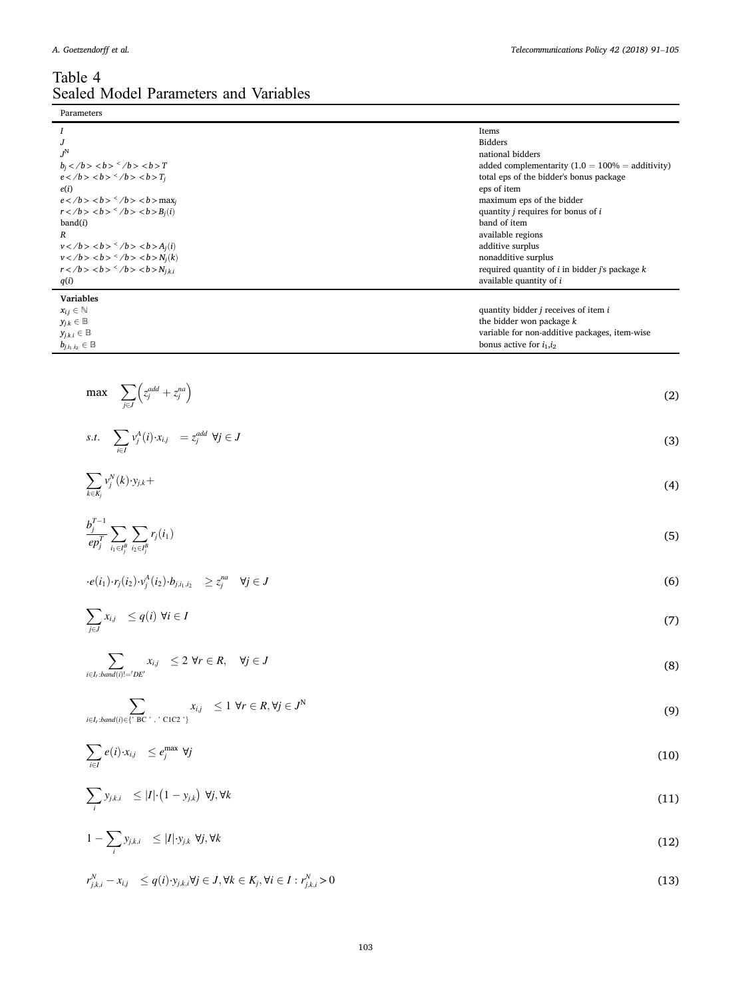## <span id="page-12-0"></span>Table 4 Sealed Model Parameters and Variables Parameters

| 1 acameters                                                                                                                                                                                                                     |                                                       |
|---------------------------------------------------------------------------------------------------------------------------------------------------------------------------------------------------------------------------------|-------------------------------------------------------|
|                                                                                                                                                                                                                                 | Items                                                 |
|                                                                                                                                                                                                                                 | <b>Bidders</b>                                        |
| $I^{\rm N}$                                                                                                                                                                                                                     | national bidders                                      |
| $b_i$ < /b><br><br><br>b><br><br><br><br><br><br><br><br><br><br><br><br><br><br><br><br><br><br><br><br><br><br><br><br><br><br><br><br><br><br><br><br><th>added complementarity <math>(1.0 = 100\% =</math> additivity)</th> | added complementarity $(1.0 = 100\% =$ additivity)    |
| $e$ < /b ><br><br><br>b ><br>                                                                                                                                                                                                   | total eps of the bidder's bonus package               |
| e(i)                                                                                                                                                                                                                            | eps of item                                           |
| $e$ < /b ><br><br><br>b ><br><br><br><br><br><br><br><br><br><br><br><br><br><br><br><br><br><br><br><br><br><br><br><br><br><br><br><br><br><br><br><br< th=""><th>maximum eps of the bidder</th></br<>                        | maximum eps of the bidder                             |
| $r$ < /b ><br><br><br>b ><br><br>b ><br>$B_i(i)$                                                                                                                                                                                | quantity $j$ requires for bonus of $i$                |
| band(i)                                                                                                                                                                                                                         | band of item                                          |
| R                                                                                                                                                                                                                               | available regions                                     |
| $v < /b > 1$ /b > $< b > Ai(i)$                                                                                                                                                                                                 | additive surplus                                      |
| $v < /b > 1$ /b > $< b > Ni(k)$                                                                                                                                                                                                 | nonadditive surplus                                   |
| $r$ < /b ><br><br><br><br><br><br>N <sub>i.k.i</sub>                                                                                                                                                                            | required quantity of $i$ in bidder $j$ 's package $k$ |
| q(i)                                                                                                                                                                                                                            | available quantity of i                               |
| <b>Variables</b>                                                                                                                                                                                                                |                                                       |
| $x_{i,j}\in\mathbb{N}$                                                                                                                                                                                                          | quantity bidder <i>j</i> receives of item <i>i</i>    |
| $y_{j,k}\in\mathbb{B}$                                                                                                                                                                                                          | the bidder won package $k$                            |
| $y_{j,k,i} \in \mathbb{B}$                                                                                                                                                                                                      | variable for non-additive packages, item-wise         |
| $b_{j,i_1,i_2}\in\mathbb{B}$                                                                                                                                                                                                    | bonus active for $i_1, i_2$                           |
|                                                                                                                                                                                                                                 |                                                       |

| max $\sum_{i \in I} \left( z_i^{add} + z_j^{na} \right)$                                                                                                                                       | (2)  |
|------------------------------------------------------------------------------------------------------------------------------------------------------------------------------------------------|------|
| <i>s.t.</i> $\sum_{i \in I} v_j^A(i) \cdot x_{ij} = z_j^{add} \ \forall j \in J$                                                                                                               | (3)  |
| $\sum_{k\in K_i} v^N_j(k) \cdot y_{j,k} +$                                                                                                                                                     | (4)  |
| $\frac{b_j^{t-1}}{ep_j^T}\sum_{i_1\in I^B}\sum_{i_2\in I^B}r_j(i_1)$                                                                                                                           | (5)  |
| $-e(i_1)\cdot r_j(i_2)\cdot v_i^A(i_2)\cdot b_{j,i_1,i_2} \geq z_i^{na} \quad \forall j \in J$                                                                                                 | (6)  |
| $\sum_{i \in I} x_{i,j} \leq q(i) \; \forall i \in I$                                                                                                                                          | (7)  |
| $\sum_{i\in I_r: band(i)! =' DE'} x_{i,j} \quad \leq 2 \ \forall r\in R, \quad \forall j\in J$                                                                                                 | (8)  |
| $\sum_{i\in I_r: band(i) \in \{^\prime\text{ }}\mathrm{BC}^\prime\text{ },\text{ }^\prime\text{ }CIC2\text{ }^\prime\}} x_{i,j}\quad \leq 1\text{ }\forall r\in R,\forall j\in J^{\mathrm{N}}$ | (9)  |
| $\sum_{i} e(i) \cdot x_{i,j} \leq e_j^{\max} \ \forall j$                                                                                                                                      | (10) |
| $\sum_{j,k,i} y_{j,k,i} \leq  I  \cdot (1 - y_{j,k}) \ \forall j, \forall k$                                                                                                                   | (11) |
| $1-\sum_{j,k,i} y_{j,k,i} \leq  I \cdot y_{j,k}$ $\forall j, \forall k$                                                                                                                        | (12) |
| $r_{i,k,i}^N - x_{i,j} \leq q(i) \cdot y_{j,k,i} \forall j \in J, \forall k \in K_j, \forall i \in I : r_{i,k,i}^N > 0$                                                                        | (13) |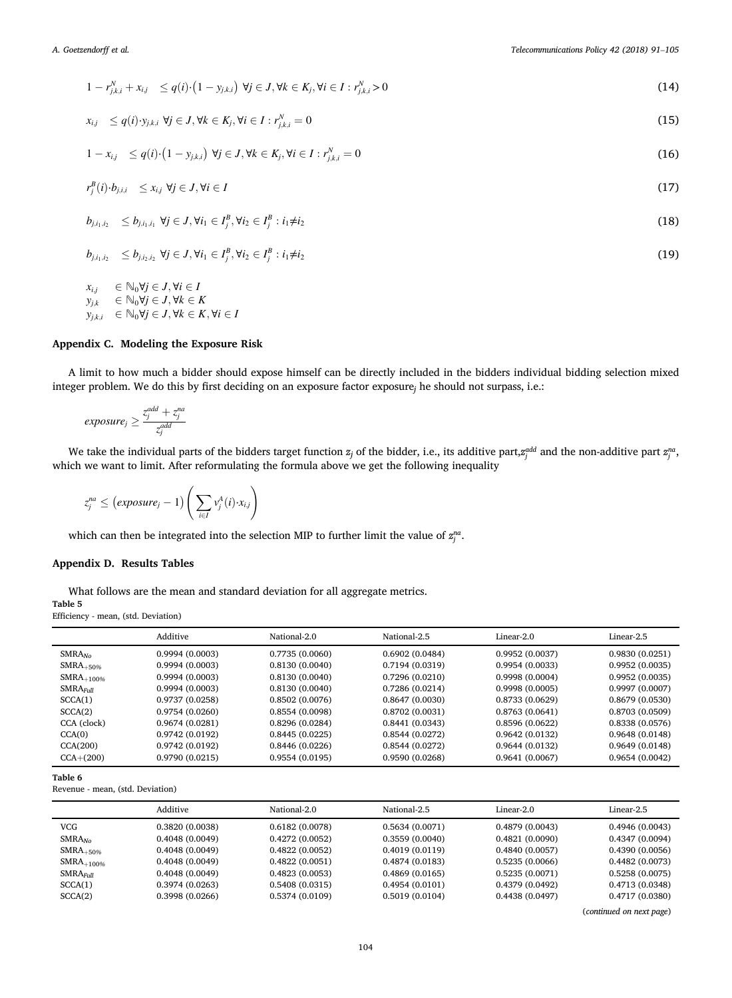<span id="page-13-0"></span>
$$
1 - r_{j,k,i}^N + x_{i,j} \le q(i) \cdot \left(1 - y_{j,k,i}\right) \forall j \in J, \forall k \in K_j, \forall i \in I : r_{j,k,i}^N > 0
$$
\n
$$
(14)
$$

$$
x_{i,j} \le q(i) \cdot y_{j,k,i} \ \forall j \in J, \forall k \in K_j, \forall i \in I : r_{j,k,i}^N = 0
$$
\n
$$
(15)
$$

$$
1 - x_{i,j} \le q(i) \cdot (1 - y_{j,k,i}) \ \forall j \in J, \forall k \in K_j, \forall i \in I : r_{j,k,i}^N = 0
$$
\n(16)

$$
r_j^B(i) \cdot b_{j,i,i} \le x_{ij} \ \forall j \in J, \forall i \in I
$$
\n
$$
(17)
$$

$$
b_{j,i_1,i_2} \leq b_{j,i_1,i_1} \ \forall j \in J, \forall i_1 \in I_j^B, \forall i_2 \in I_j^B : i_1 \neq i_2
$$
\n(18)

$$
b_{j,i_1,i_2} \leq b_{j,i_2,i_2} \ \forall j \in J, \forall i_1 \in I_j^B, \forall i_2 \in I_j^B : i_1 \neq i_2
$$
\n(19)

 $x_{i,j} \in \mathbb{N}_0 \forall j \in J, \forall i \in I$  $y_{j,k}$   $\in \mathbb{N}_0 \forall j \in J, \forall k \in K$  $y_{j,k,i}$   $\in N_0 \forall j \in J, \forall k \in K, \forall i \in I$ 

## Appendix C. Modeling the Exposure Risk

A limit to how much a bidder should expose himself can be directly included in the bidders individual bidding selection mixed integer problem. We do this by first deciding on an exposure factor exposure, he should not surpass, i.e.:

$$
exposure_j \geq \frac{z_j^{add} + z_j^{na}}{z_j^{add}}
$$

We take the individual parts of the bidders target function  $z_j$  of the bidder, i.e., its additive part, $z_j^{add}$  and the non-additive part  $z_j^{na}$ . which we want to limit. After reformulating the formula above we get the following inequality

$$
z_j^{na} \le (exposure_j - 1) \bigg(\sum_{i \in I} v_j^A(i) \cdot x_{ij}\bigg)
$$

which can then be integrated into the selection MIP to further limit the value of  $z_j^{na}$ .

## Appendix D. Results Tables

What follows are the mean and standard deviation for all aggregate metrics. Table 5 Efficiency - mean, (std. Deviation)

|                        | Additive       | National-2.0   | National-2.5   | Linear-2.0     | Linear-2.5     |
|------------------------|----------------|----------------|----------------|----------------|----------------|
| $SMRA_{No}$            | 0.9994(0.0003) | 0.7735(0.0060) | 0.6902(0.0484) | 0.9952(0.0037) | 0.9830(0.0251) |
| $SMRA_{+50\%}$         | 0.9994(0.0003) | 0.8130(0.0040) | 0.7194(0.0319) | 0.9954(0.0033) | 0.9952(0.0035) |
| $\rm SMRA_{+100\%}$    | 0.9994(0.0003) | 0.8130(0.0040) | 0.7296(0.0210) | 0.9998(0.0004) | 0.9952(0.0035) |
| $SMRA$ <sub>Full</sub> | 0.9994(0.0003) | 0.8130(0.0040) | 0.7286(0.0214) | 0.9998(0.0005) | 0.9997(0.0007) |
| SCCA(1)                | 0.9737(0.0258) | 0.8502(0.0076) | 0.8647(0.0030) | 0.8733(0.0629) | 0.8679(0.0530) |
| SCCA(2)                | 0.9754(0.0260) | 0.8554(0.0098) | 0.8702(0.0031) | 0.8763(0.0641) | 0.8703(0.0509) |
| CCA (clock)            | 0.9674(0.0281) | 0.8296(0.0284) | 0.8441(0.0343) | 0.8596(0.0622) | 0.8338(0.0576) |
| CCA(0)                 | 0.9742(0.0192) | 0.8445(0.0225) | 0.8544(0.0272) | 0.9642(0.0132) | 0.9648(0.0148) |
| CCA(200)               | 0.9742(0.0192) | 0.8446(0.0226) | 0.8544(0.0272) | 0.9644(0.0132) | 0.9649(0.0148) |
| $CCA+(200)$            | 0.9790(0.0215) | 0.9554(0.0195) | 0.9590(0.0268) | 0.9641(0.0067) | 0.9654(0.0042) |

Table 6

Revenue - mean, (std. Deviation)

|                 | Additive       | National-2.0   | National-2.5   | Linear-2.0     | Linear-2.5     |
|-----------------|----------------|----------------|----------------|----------------|----------------|
| VCG             | 0.3820(0.0038) | 0.6182(0.0078) | 0.5634(0.0071) | 0.4879(0.0043) | 0.4946(0.0043) |
| $SMRA_{No}$     | 0.4048(0.0049) | 0.4272(0.0052) | 0.3559(0.0040) | 0.4821(0.0090) | 0.4347(0.0094) |
| $SMRA_{+50\%}$  | 0.4048(0.0049) | 0.4822(0.0052) | 0.4019(0.0119) | 0.4840(0.0057) | 0.4390(0.0056) |
| $SMRA_{+100\%}$ | 0.4048(0.0049) | 0.4822(0.0051) | 0.4874(0.0183) | 0.5235(0.0066) | 0.4482(0.0073) |
| $SMRA$ $Full$   | 0.4048(0.0049) | 0.4823(0.0053) | 0.4869(0.0165) | 0.5235(0.0071) | 0.5258(0.0075) |
| SCCA(1)         | 0.3974(0.0263) | 0.5408(0.0315) | 0.4954(0.0101) | 0.4379(0.0492) | 0.4713(0.0348) |
| SCCA(2)         | 0.3998(0.0266) | 0.5374(0.0109) | 0.5019(0.0104) | 0.4438(0.0497) | 0.4717(0.0380) |

(continued on next page)